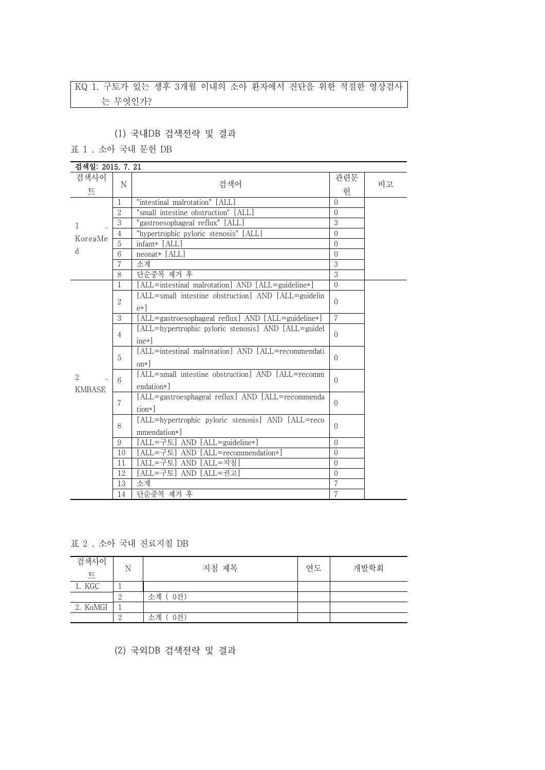## KQ 1. 구토가 있는 생후 3개월 이내의 소아 환자에서 진단을 위한 적절한 영상검사 는 무엇인가?

(1) 국내DB 검색전략 및 결과

표 1 . 소아 국내 문헌 DB

| 검색일: 2015, 7, 21        |                |                                                                             |                |    |
|-------------------------|----------------|-----------------------------------------------------------------------------|----------------|----|
| 검색사이                    | N              | 검색어                                                                         | 관련문            | 비고 |
| E                       |                |                                                                             | 헌              |    |
|                         | 1              | "intestinal malrotation" [ALL]                                              | $\Omega$       |    |
|                         | $\overline{2}$ | "small intestine obstruction" [ALL]                                         | $\Omega$       |    |
| 1                       | 3              | "gastroesophageal reflux" [ALL]                                             | 3              |    |
| KoreaMe                 | $\overline{4}$ | "hypertrophic pyloric stenosis" [ALL]                                       | $\Omega$       |    |
|                         | 5              | infant* [ALL]                                                               | $\Omega$       |    |
| <sub>d</sub>            | 6              | neonat* [ALL]                                                               | $\Omega$       |    |
|                         | 7              | 소계                                                                          | 3              |    |
|                         | 8              | 단순중복 제거 후                                                                   | 3              |    |
|                         | $\mathbf{1}$   | [ALL=intestinal malrotation] AND [ALL=guideline*]                           | $\Omega$       |    |
|                         | 2              | [ALL=small intestine obstruction] AND [ALL=guidelin<br>$e*$ ]               | $\Omega$       |    |
|                         | 3              | [ALL=gastroesophageal reflux] AND [ALL=guideline*]                          | $\overline{7}$ |    |
|                         |                | [ALL=hypertrophic pyloric stenosis] AND [ALL=guidel]                        |                |    |
|                         | $\overline{4}$ | $ine*$ ]                                                                    | $\Omega$       |    |
|                         | 5              | [ALL=intestinal malrotation] AND [ALL=recommendati<br>$\alpha$ <sup>*</sup> | $\Omega$       |    |
| $\mathcal{L}$<br>KMBASE | 6              | [ALL=small intestine obstruction] AND [ALL=recomm<br>endation*]             | $\Omega$       |    |
|                         | 7              | [ALL=gastroesphageal reflux] AND [ALL=recommenda<br>tion*]                  | $\Omega$       |    |
|                         | 8              | [ALL=hypertrophic pyloric stenosis] AND [ALL=reco<br>mmendation*]           | $\Omega$       |    |
|                         | 9              | [ALL=구토] AND [ALL=guideline*]                                               | $\Omega$       |    |
|                         | 10             | [ALL=구토] AND [ALL=recommendation*]                                          | $\Omega$       |    |
|                         | 11             | [ALL=구토] AND [ALL=지침]                                                       | $\Omega$       |    |
|                         | 12             | [ALL=구토] AND [ALL=권고]                                                       | $\Omega$       |    |
|                         | 13             | 소계                                                                          | 7              |    |
|                         | 14             | 단순중복 제거 후                                                                   | 7              |    |

표 2 . 소아 국내 진료지침 DB

| 검색사이<br>E | N | 지침 제목     | 연도 | 개발학회 |  |
|-----------|---|-----------|----|------|--|
| 1. KGC    |   |           |    |      |  |
|           |   | 소계 (0건)   |    |      |  |
| 2. KoMGI  |   |           |    |      |  |
|           |   | 소계<br>0건) |    |      |  |

(2) 국외DB 검색전략 및 결과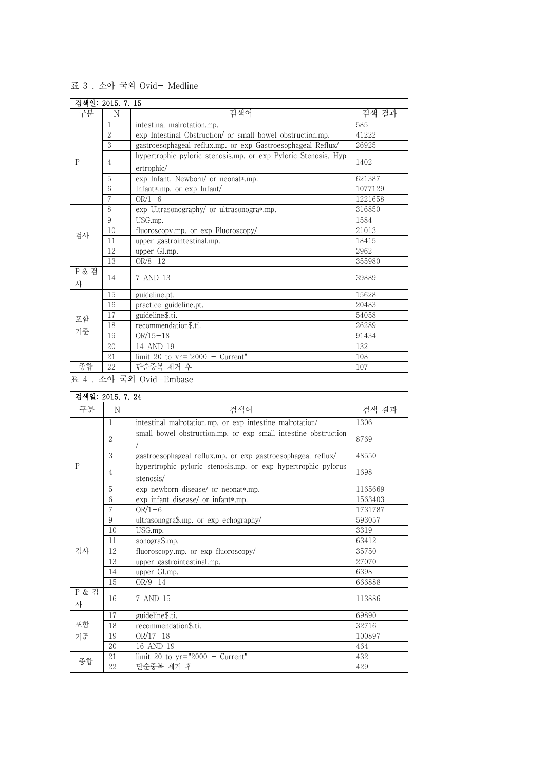|            | 검색일: 2015. 7. 15 |                                                                |         |
|------------|------------------|----------------------------------------------------------------|---------|
| 구분         | N                | 검색어                                                            | 검색 결과   |
|            |                  | intestinal malrotation.mp.                                     | 585     |
|            | $\overline{2}$   | exp Intestinal Obstruction/ or small bowel obstruction.mp.     | 41222   |
|            | 3                | gastroesophageal reflux.mp. or exp Gastroesophageal Reflux/    | 26925   |
| P          | 4                | hypertrophic pyloric stenosis.mp. or exp Pyloric Stenosis, Hyp |         |
|            |                  | ertrophic/                                                     | 1402    |
|            | 5                | exp Infant, Newborn/ or neonat*.mp.                            | 621387  |
|            | 6                | Infant*.mp. or exp Infant/                                     | 1077129 |
|            | 7                | $OR/1-6$                                                       | 1221658 |
|            | 8                | exp Ultrasonography/ or ultrasonogra*.mp.                      | 316850  |
|            | 9                | USG.mp.                                                        | 1584    |
| 검사         | 10               | fluoroscopy.mp. or exp Fluoroscopy/                            | 21013   |
|            | 11               | upper gastrointestinal.mp.                                     | 18415   |
|            | 12               | upper GI.mp.                                                   | 2962    |
|            | 13               | $OR/8 - 12$                                                    | 355980  |
| P & 검<br>사 | 14               | 7 AND 13                                                       | 39889   |
|            | 15               | guideline.pt.                                                  | 15628   |
| 포함<br>기준   | 16               | practice guideline.pt.                                         | 20483   |
|            | 17               | guideline\$.ti.                                                | 54058   |
|            | 18               | recommendation\$.ti.                                           | 26289   |
|            | 19               | $OR/15-18$                                                     | 91434   |
|            | 20               | 14 AND 19                                                      | 132     |
|            | 21               | limit 20 to $yr="2000 - Current"$                              | 108     |
| 종합         | 22               | 단순중복 제거 후                                                      | 107     |

표 3 . 소아 국외 Ovid- Medline

표 4 . 소아 국외 Ovid-Embase

| 검색일: 2015, 7, 24 |                 |                                                                            |         |
|------------------|-----------------|----------------------------------------------------------------------------|---------|
| 구분               | N               | 검색어                                                                        | 검색 결과   |
|                  | $\mathbf{1}$    | intestinal malrotation.mp. or exp intestine malrotation/                   | 1306    |
|                  | $\overline{2}$  | small bowel obstruction.mp. or exp small intestine obstruction             | 8769    |
|                  | 3               | gastroesophageal reflux.mp. or exp gastroesophageal reflux/                | 48550   |
| $\mathsf{P}$     | $\overline{4}$  | hypertrophic pyloric stenosis.mp. or exp hypertrophic pylorus<br>stenosis/ | 1698    |
|                  | 5               | exp newborn disease/ or neonat*.mp.                                        | 1165669 |
|                  | $6\overline{6}$ | exp infant disease/ or infant*.mp.                                         | 1563403 |
|                  | $\overline{7}$  | $OR/1-6$                                                                   | 1731787 |
|                  | 9               | ultrasonogra\$.mp. or exp echography/                                      | 593057  |
|                  | 10              | USG.mp.                                                                    | 3319    |
|                  | 11              | sonogra\$.mp.                                                              | 63412   |
| 검사               | 12              | fluoroscopy.mp. or exp fluoroscopy/                                        | 35750   |
|                  | 13              | upper gastrointestinal.mp.                                                 | 27070   |
|                  | 14              | upper GI.mp.                                                               | 6398    |
|                  | 15              | $OR/9-14$                                                                  | 666888  |
| P & 검<br>사       | 16              | 7 AND 15                                                                   | 113886  |
|                  | 17              | guideline\$.ti.                                                            | 69890   |
| 포함               | 18              | recommendation\$.ti.                                                       | 32716   |
| 기준               | 19              | $OR/17-18$                                                                 | 100897  |
|                  | 20              | 16 AND 19                                                                  | 464     |
|                  | 21              | limit 20 to $yr="2000 - Current"$                                          | 432     |
| 종합               | 22              | 단순중복 제거 후                                                                  | 429     |